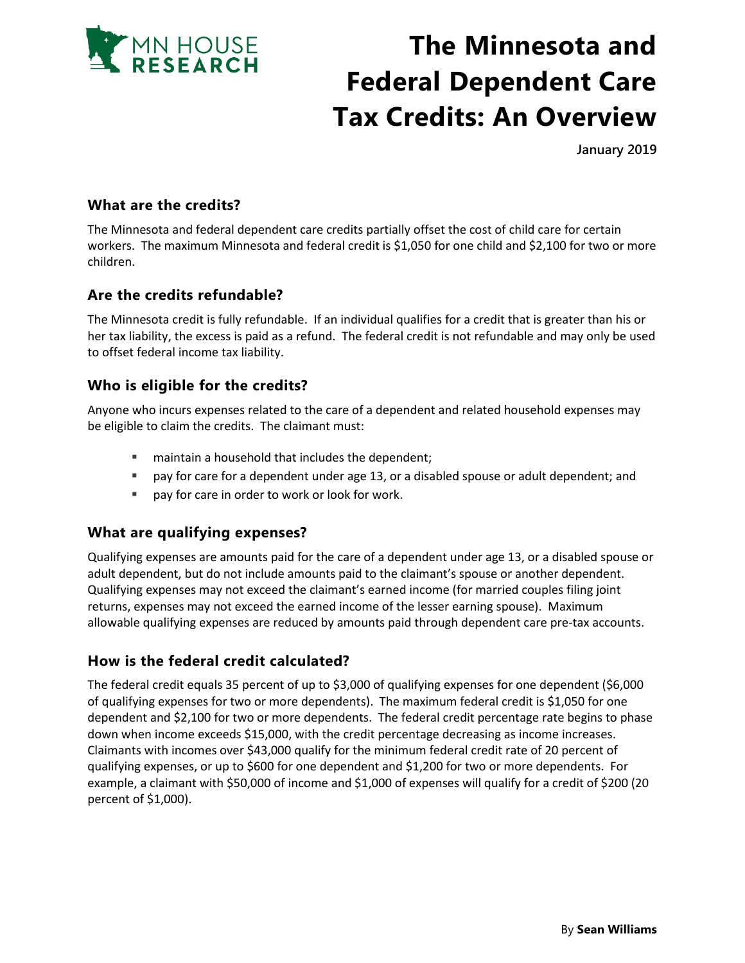

# **The Minnesota and Federal Dependent Care Tax Credits: An Overview**

**January 2019**

## **What are the credits?**

The Minnesota and federal dependent care credits partially offset the cost of child care for certain workers. The maximum Minnesota and federal credit is \$1,050 for one child and \$2,100 for two or more children.

## **Are the credits refundable?**

The Minnesota credit is fully refundable. If an individual qualifies for a credit that is greater than his or her tax liability, the excess is paid as a refund. The federal credit is not refundable and may only be used to offset federal income tax liability.

## **Who is eligible for the credits?**

Anyone who incurs expenses related to the care of a dependent and related household expenses may be eligible to claim the credits. The claimant must:

- **F** maintain a household that includes the dependent;
- pay for care for a dependent under age 13, or a disabled spouse or adult dependent; and
- **pay for care in order to work or look for work.**

### **What are qualifying expenses?**

Qualifying expenses are amounts paid for the care of a dependent under age 13, or a disabled spouse or adult dependent, but do not include amounts paid to the claimant's spouse or another dependent. Qualifying expenses may not exceed the claimant's earned income (for married couples filing joint returns, expenses may not exceed the earned income of the lesser earning spouse). Maximum allowable qualifying expenses are reduced by amounts paid through dependent care pre-tax accounts.

## **How is the federal credit calculated?**

The federal credit equals 35 percent of up to \$3,000 of qualifying expenses for one dependent (\$6,000 of qualifying expenses for two or more dependents). The maximum federal credit is \$1,050 for one dependent and \$2,100 for two or more dependents. The federal credit percentage rate begins to phase down when income exceeds \$15,000, with the credit percentage decreasing as income increases. Claimants with incomes over \$43,000 qualify for the minimum federal credit rate of 20 percent of qualifying expenses, or up to \$600 for one dependent and \$1,200 for two or more dependents. For example, a claimant with \$50,000 of income and \$1,000 of expenses will qualify for a credit of \$200 (20 percent of \$1,000).